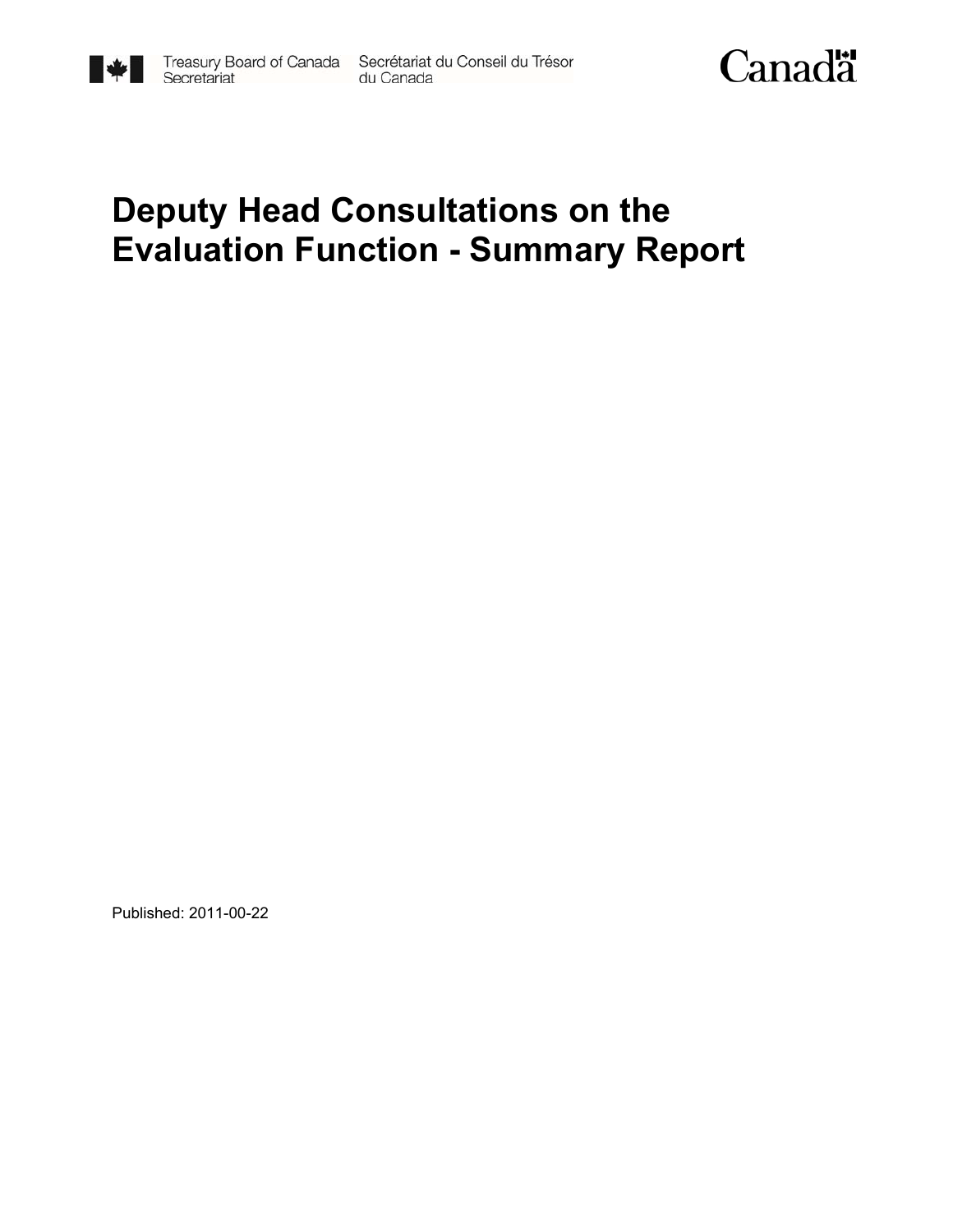

# **Deputy Head Consultations on the Evaluation Function - Summary Report**

Published: 2011-00-22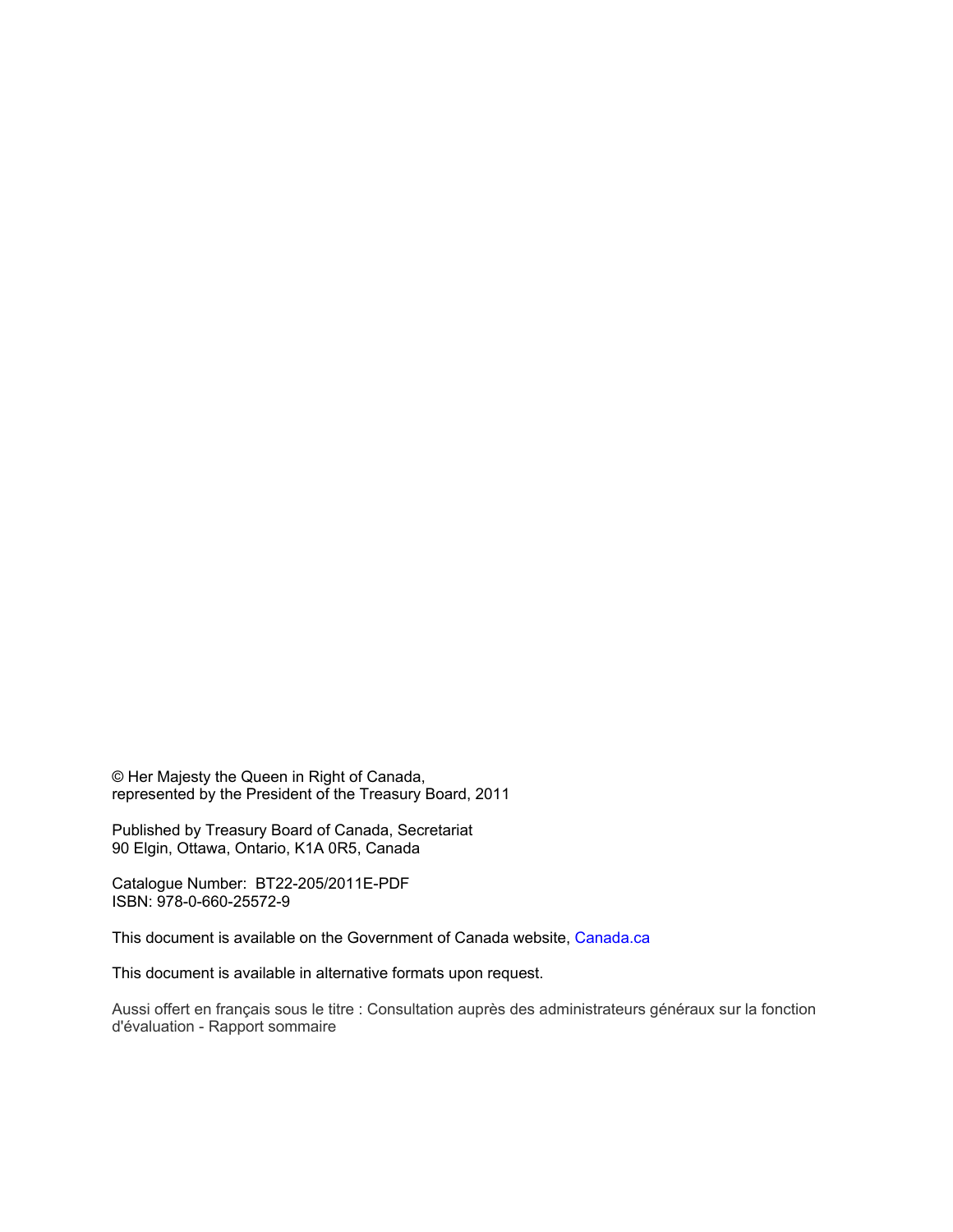© Her Majesty the Queen in Right of Canada, represented by the President of the Treasury Board, 2011

Published by Treasury Board of Canada, Secretariat 90 Elgin, Ottawa, Ontario, K1A 0R5, Canada

Catalogue Number: BT22-205/2011E-PDF ISBN: 978-0-660-25572-9

This document is available on the Government of Canada website, Canada.ca

This document is available in alternative formats upon request.

Aussi offert en français sous le titre : Consultation auprès des administrateurs généraux sur la fonction d'évaluation - Rapport sommaire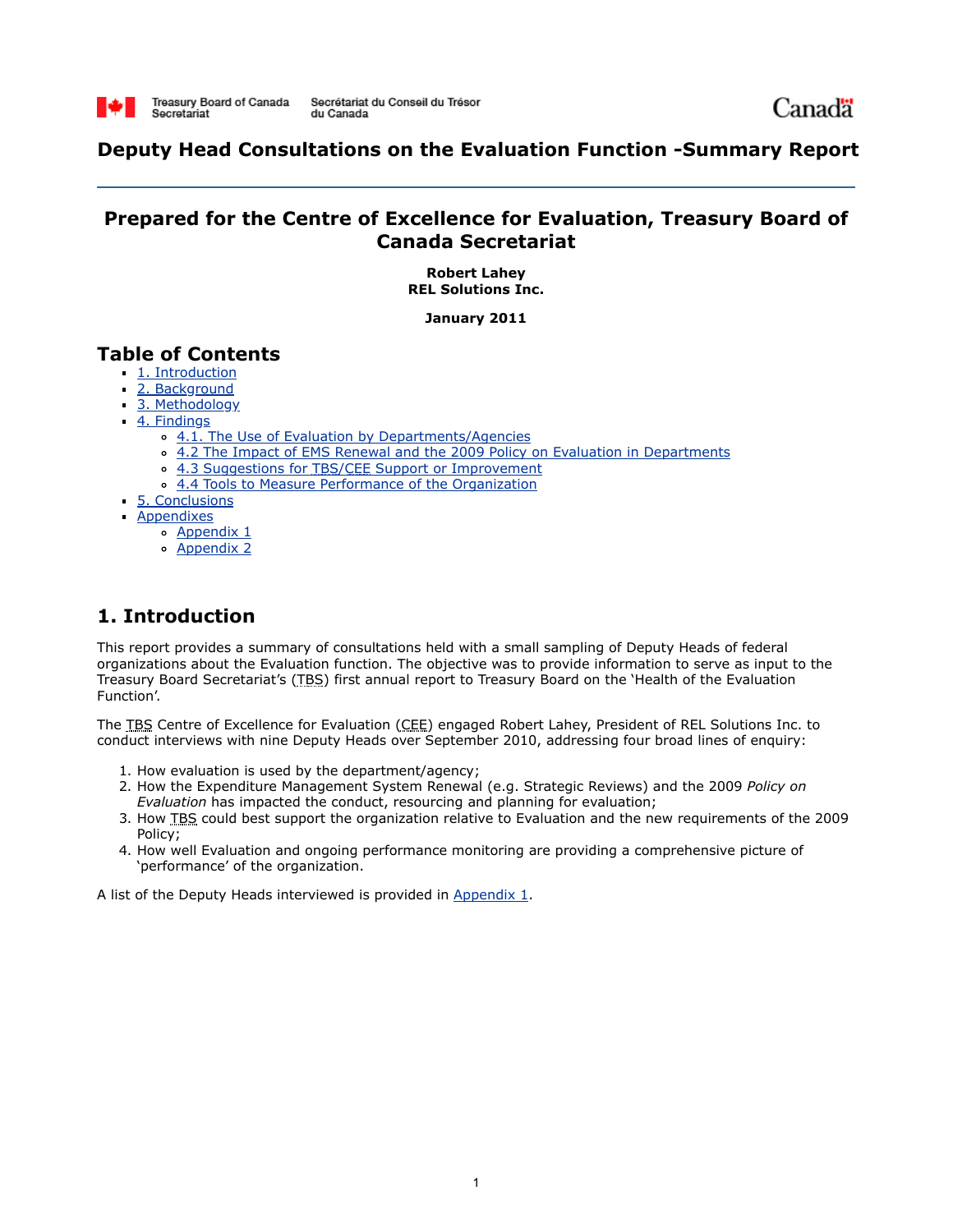

Canadä

# **Deputy Head Consultations on the Evaluation Function -Summary Report**

# **Prepared for the Centre of Excellence for Evaluation, Treasury Board of Canada Secretariat**

**Robert Lahey REL Solutions Inc.**

**January 2011**

# **Table of Contents**

- 1. Introduction
- 2. Background
- 3. Methodology
- 4. Findings
	- <sup>o</sup> 4.1. The Use of Evaluation by Departments/Agencies
	- <sup>o</sup> 4.2 The Impact of EMS Renewal and the 2009 Policy on Evaluation in Departments
		- 4.3 Suggestions for TBS/CEE Support or Improvement
		- 4.4 Tools to Measure Performance of the Organization
- 5. Conclusions
- Appendixes
	- Appendix 1
		- Appendix 2

# **1. Introduction**

This report provides a summary of consultations held with a small sampling of Deputy Heads of federal organizations about the Evaluation function. The objective was to provide information to serve as input to the Treasury Board Secretariat's (TBS) first annual report to Treasury Board on the 'Health of the Evaluation Function'.

The TBS Centre of Excellence for Evaluation (CEE) engaged Robert Lahey, President of REL Solutions Inc. to conduct interviews with nine Deputy Heads over September 2010, addressing four broad lines of enquiry:

- 1. How evaluation is used by the department/agency;
- 2. How the Expenditure Management System Renewal (e.g. Strategic Reviews) and the 2009 *Policy on Evaluation* has impacted the conduct, resourcing and planning for evaluation;
- 3. How TBS could best support the organization relative to Evaluation and the new requirements of the 2009 Policy;
- 4. How well Evaluation and ongoing performance monitoring are providing a comprehensive picture of 'performance' of the organization.

A list of the Deputy Heads interviewed is provided in [Appendix 1.](http://www.tbs-sct.gc.ca/report/orp/2011/evaluation/dhcefsr-cagfers04-eng.asp#appendix1)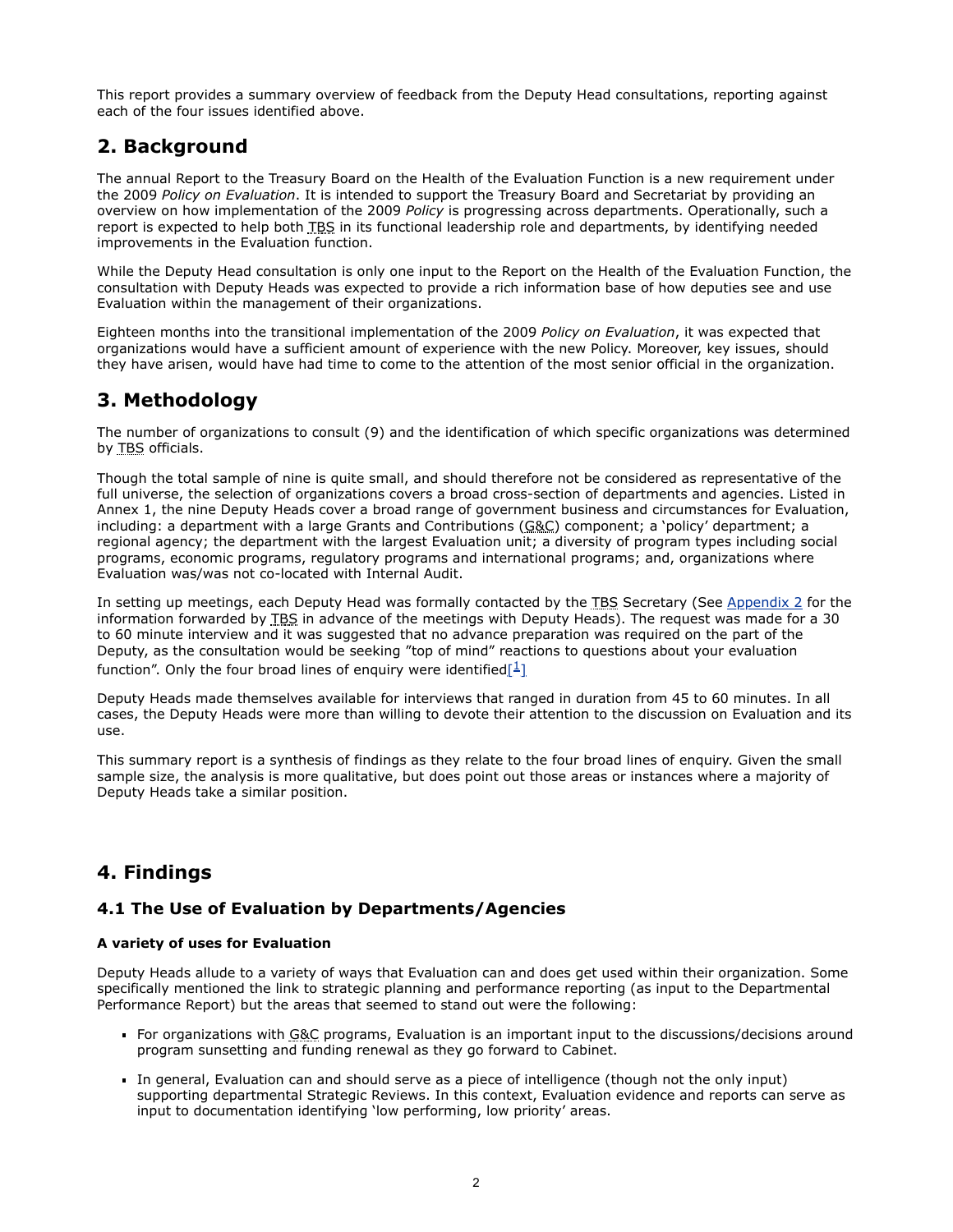This report provides a summary overview of feedback from the Deputy Head consultations, reporting against each of the four issues identified above.

# **2. Background**

The annual Report to the Treasury Board on the Health of the Evaluation Function is a new requirement under the 2009 *Policy on Evaluation*. It is intended to support the Treasury Board and Secretariat by providing an overview on how implementation of the 2009 *Policy* is progressing across departments. Operationally, such a report is expected to help both TBS in its functional leadership role and departments, by identifying needed improvements in the Evaluation function.

While the Deputy Head consultation is only one input to the Report on the Health of the Evaluation Function, the consultation with Deputy Heads was expected to provide a rich information base of how deputies see and use Evaluation within the management of their organizations.

Eighteen months into the transitional implementation of the 2009 *Policy on Evaluation*, it was expected that organizations would have a sufficient amount of experience with the new Policy. Moreover, key issues, should they have arisen, would have had time to come to the attention of the most senior official in the organization.

# **3. Methodology**

The number of organizations to consult (9) and the identification of which specific organizations was determined by TBS officials.

Though the total sample of nine is quite small, and should therefore not be considered as representative of the full universe, the selection of organizations covers a broad cross-section of departments and agencies. Listed in Annex 1, the nine Deputy Heads cover a broad range of government business and circumstances for Evaluation, including: a department with a large Grants and Contributions ( $\underline{G} \& C$ ) component; a 'policy' department; a regional agency; the department with the largest Evaluation unit; a diversity of program types including social programs, economic programs, regulatory programs and international programs; and, organizations where Evaluation was/was not co-located with Internal Audit.

In setting up meetings, each Deputy Head was formally contacted by the TBS Secretary (See [Appendix 2](http://www.tbs-sct.gc.ca/report/orp/2011/evaluation/dhcefsr-cagfers04-eng.asp#appendix2) for the information forwarded by TBS in advance of the meetings with Deputy Heads). The request was made for a 30 to 60 minute interview and it was suggested that no advance preparation was required on the part of the Deputy, as the consultation would be seeking "top of mind" reactions to questions about your evaluation function". Only the four broad lines of enquiry were identified  $\left[\frac{1}{1}\right]$  $\left[\frac{1}{1}\right]$  $\left[\frac{1}{1}\right]$ 

Deputy Heads made themselves available for interviews that ranged in duration from 45 to 60 minutes. In all cases, the Deputy Heads were more than willing to devote their attention to the discussion on Evaluation and its use.

This summary report is a synthesis of findings as they relate to the four broad lines of enquiry. Given the small sample size, the analysis is more qualitative, but does point out those areas or instances where a majority of Deputy Heads take a similar position.

# **4. Findings**

# **4.1 The Use of Evaluation by Departments/Agencies**

## **A variety of uses for Evaluation**

Deputy Heads allude to a variety of ways that Evaluation can and does get used within their organization. Some specifically mentioned the link to strategic planning and performance reporting (as input to the Departmental Performance Report) but the areas that seemed to stand out were the following:

- For organizations with G&C programs, Evaluation is an important input to the discussions/decisions around program sunsetting and funding renewal as they go forward to Cabinet.
- In general, Evaluation can and should serve as a piece of intelligence (though not the only input) supporting departmental Strategic Reviews. In this context, Evaluation evidence and reports can serve as input to documentation identifying 'low performing, low priority' areas.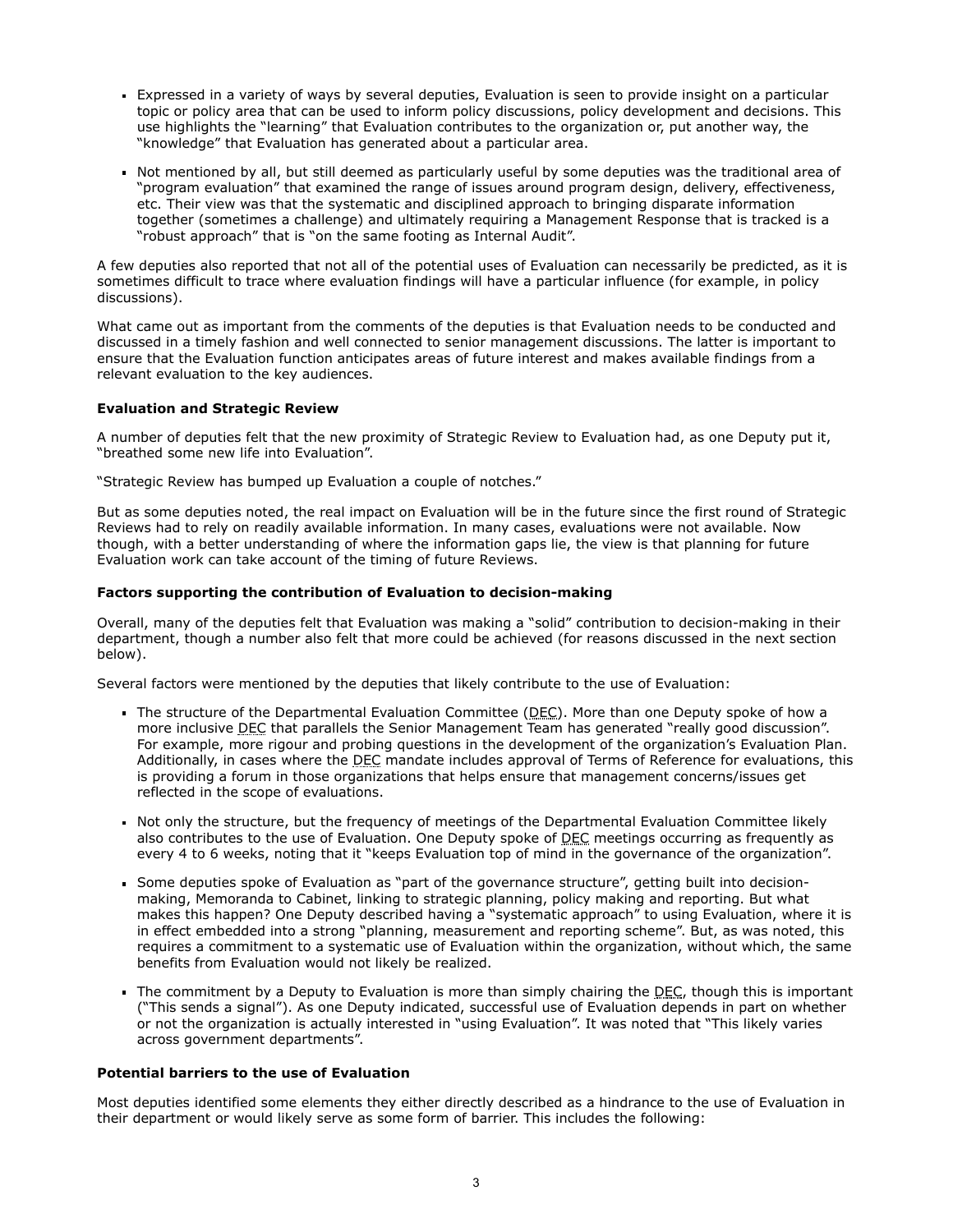- Expressed in a variety of ways by several deputies, Evaluation is seen to provide insight on a particular topic or policy area that can be used to inform policy discussions, policy development and decisions. This use highlights the "learning" that Evaluation contributes to the organization or, put another way, the "knowledge" that Evaluation has generated about a particular area.
- Not mentioned by all, but still deemed as particularly useful by some deputies was the traditional area of "program evaluation" that examined the range of issues around program design, delivery, effectiveness, etc. Their view was that the systematic and disciplined approach to bringing disparate information together (sometimes a challenge) and ultimately requiring a Management Response that is tracked is a "robust approach" that is "on the same footing as Internal Audit".

A few deputies also reported that not all of the potential uses of Evaluation can necessarily be predicted, as it is sometimes difficult to trace where evaluation findings will have a particular influence (for example, in policy discussions).

What came out as important from the comments of the deputies is that Evaluation needs to be conducted and discussed in a timely fashion and well connected to senior management discussions. The latter is important to ensure that the Evaluation function anticipates areas of future interest and makes available findings from a relevant evaluation to the key audiences.

### **Evaluation and Strategic Review**

A number of deputies felt that the new proximity of Strategic Review to Evaluation had, as one Deputy put it, "breathed some new life into Evaluation".

"Strategic Review has bumped up Evaluation a couple of notches."

But as some deputies noted, the real impact on Evaluation will be in the future since the first round of Strategic Reviews had to rely on readily available information. In many cases, evaluations were not available. Now though, with a better understanding of where the information gaps lie, the view is that planning for future Evaluation work can take account of the timing of future Reviews.

#### **Factors supporting the contribution of Evaluation to decision-making**

Overall, many of the deputies felt that Evaluation was making a "solid" contribution to decision-making in their department, though a number also felt that more could be achieved (for reasons discussed in the next section below).

Several factors were mentioned by the deputies that likely contribute to the use of Evaluation:

- The structure of the Departmental Evaluation Committee  $(\underline{DEC})$ . More than one Deputy spoke of how a more inclusive DEC that parallels the Senior Management Team has generated "really good discussion". For example, more rigour and probing questions in the development of the organization's Evaluation Plan. Additionally, in cases where the DEC mandate includes approval of Terms of Reference for evaluations, this is providing a forum in those organizations that helps ensure that management concerns/issues get reflected in the scope of evaluations.
- Not only the structure, but the frequency of meetings of the Departmental Evaluation Committee likely also contributes to the use of Evaluation. One Deputy spoke of DEC meetings occurring as frequently as every 4 to 6 weeks, noting that it "keeps Evaluation top of mind in the governance of the organization".
- Some deputies spoke of Evaluation as "part of the governance structure", getting built into decisionmaking, Memoranda to Cabinet, linking to strategic planning, policy making and reporting. But what makes this happen? One Deputy described having a "systematic approach" to using Evaluation, where it is in effect embedded into a strong "planning, measurement and reporting scheme". But, as was noted, this requires a commitment to a systematic use of Evaluation within the organization, without which, the same benefits from Evaluation would not likely be realized.
- The commitment by a Deputy to Evaluation is more than simply chairing the  $DEC$ , though this is important ("This sends a signal"). As one Deputy indicated, successful use of Evaluation depends in part on whether or not the organization is actually interested in "using Evaluation". It was noted that "This likely varies across government departments".

### **Potential barriers to the use of Evaluation**

Most deputies identified some elements they either directly described as a hindrance to the use of Evaluation in their department or would likely serve as some form of barrier. This includes the following: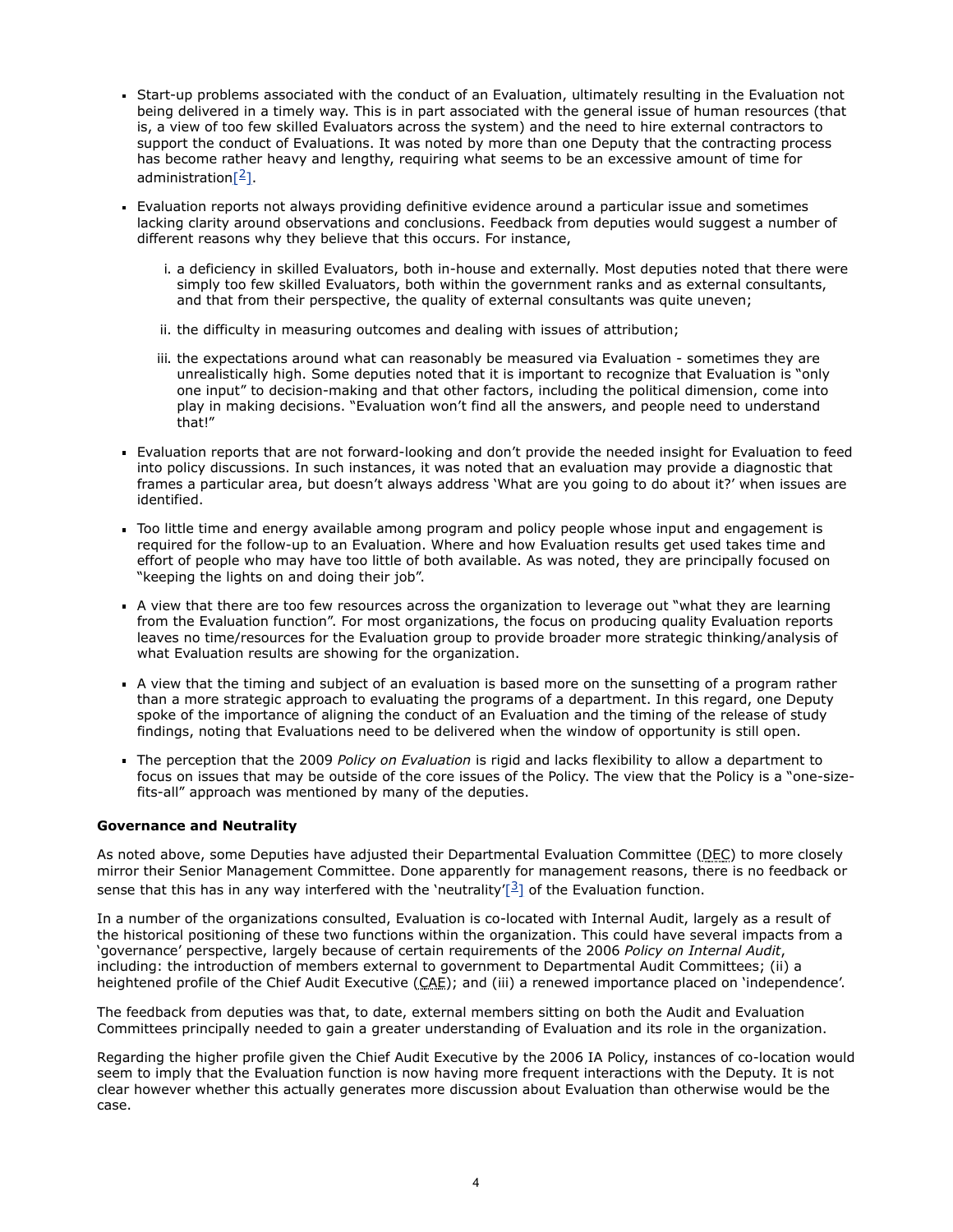- Start-up problems associated with the conduct of an Evaluation, ultimately resulting in the Evaluation not being delivered in a timely way. This is in part associated with the general issue of human resources (that is, a view of too few skilled Evaluators across the system) and the need to hire external contractors to support the conduct of Evaluations. It was noted by more than one Deputy that the contracting process has become rather heavy and lengthy, requiring what seems to be an excessive amount of time for administration $[2]$ .
- Evaluation reports not always providing definitive evidence around a particular issue and sometimes lacking clarity around observations and conclusions. Feedback from deputies would suggest a number of different reasons why they believe that this occurs. For instance,
	- i. a deficiency in skilled Evaluators, both in-house and externally. Most deputies noted that there were simply too few skilled Evaluators, both within the government ranks and as external consultants, and that from their perspective, the quality of external consultants was quite uneven;
	- ii. the difficulty in measuring outcomes and dealing with issues of attribution;
	- iii. the expectations around what can reasonably be measured via Evaluation sometimes they are unrealistically high. Some deputies noted that it is important to recognize that Evaluation is "only one input" to decision-making and that other factors, including the political dimension, come into play in making decisions. "Evaluation won't find all the answers, and people need to understand that!"
- Evaluation reports that are not forward-looking and don't provide the needed insight for Evaluation to feed into policy discussions. In such instances, it was noted that an evaluation may provide a diagnostic that frames a particular area, but doesn't always address 'What are you going to do about it?' when issues are identified.
- Too little time and energy available among program and policy people whose input and engagement is required for the follow-up to an Evaluation. Where and how Evaluation results get used takes time and effort of people who may have too little of both available. As was noted, they are principally focused on "keeping the lights on and doing their job".
- A view that there are too few resources across the organization to leverage out "what they are learning from the Evaluation function". For most organizations, the focus on producing quality Evaluation reports leaves no time/resources for the Evaluation group to provide broader more strategic thinking/analysis of what Evaluation results are showing for the organization.
- A view that the timing and subject of an evaluation is based more on the sunsetting of a program rather than a more strategic approach to evaluating the programs of a department. In this regard, one Deputy spoke of the importance of aligning the conduct of an Evaluation and the timing of the release of study findings, noting that Evaluations need to be delivered when the window of opportunity is still open.
- The perception that the 2009 *Policy on Evaluation* is rigid and lacks flexibility to allow a department to focus on issues that may be outside of the core issues of the Policy. The view that the Policy is a "one-sizefits-all" approach was mentioned by many of the deputies.

### **Governance and Neutrality**

As noted above, some Deputies have adjusted their Departmental Evaluation Committee (DEC) to more closely mirror their Senior Management Committee. Done apparently for management reasons, there is no feedback or sense that this has in any way interfered with the 'neutrality' $\lceil \frac{3}{2} \rceil$  of the Evaluation function.

In a number of the organizations consulted, Evaluation is co-located with Internal Audit, largely as a result of the historical positioning of these two functions within the organization. This could have several impacts from a 'governance' perspective, largely because of certain requirements of the 2006 *Policy on Internal Audit*, including: the introduction of members external to government to Departmental Audit Committees; (ii) a heightened profile of the Chief Audit Executive (CAE); and (iii) a renewed importance placed on 'independence'.

The feedback from deputies was that, to date, external members sitting on both the Audit and Evaluation Committees principally needed to gain a greater understanding of Evaluation and its role in the organization.

Regarding the higher profile given the Chief Audit Executive by the 2006 IA Policy, instances of co-location would seem to imply that the Evaluation function is now having more frequent interactions with the Deputy. It is not clear however whether this actually generates more discussion about Evaluation than otherwise would be the case.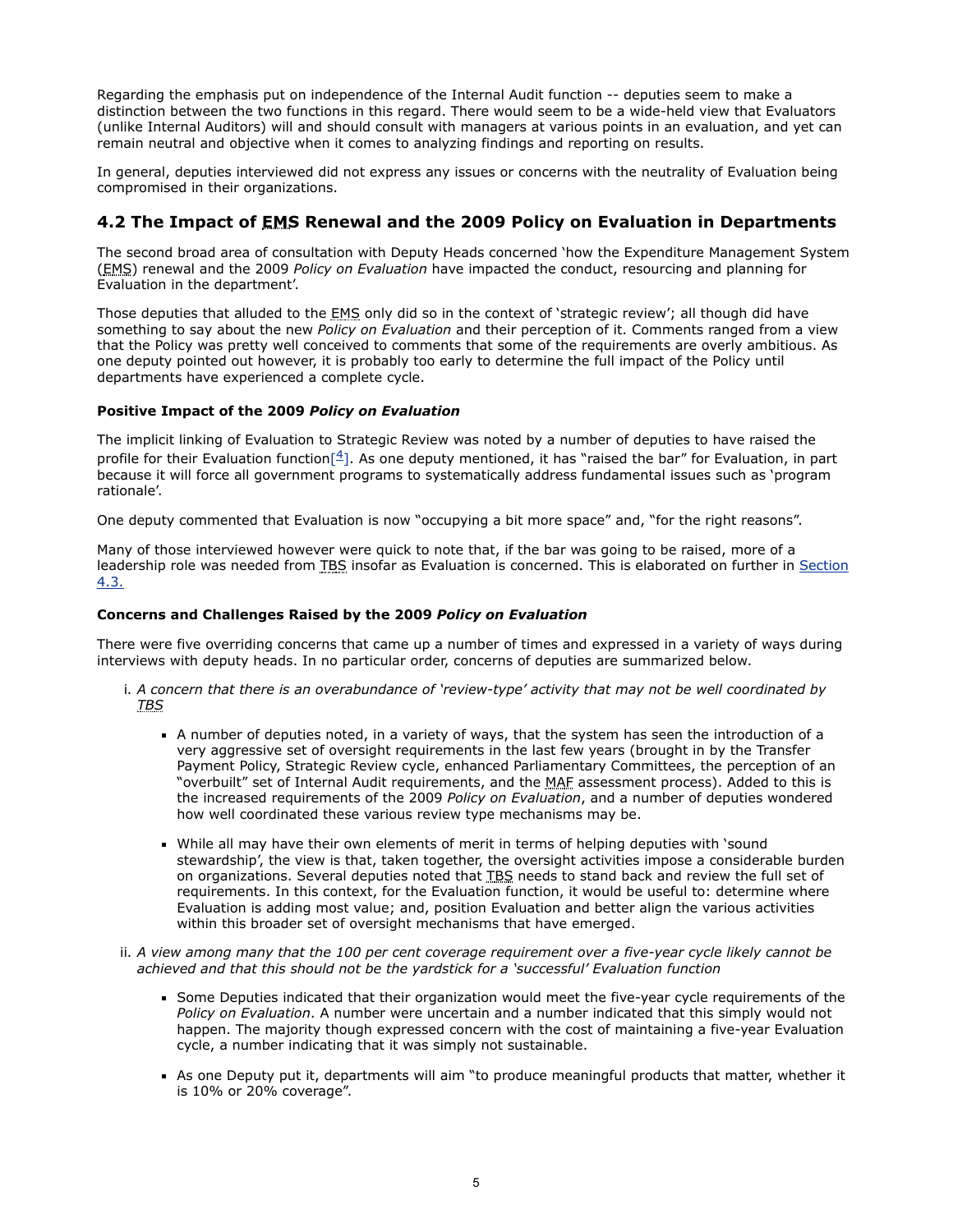Regarding the emphasis put on independence of the Internal Audit function -- deputies seem to make a distinction between the two functions in this regard. There would seem to be a wide-held view that Evaluators (unlike Internal Auditors) will and should consult with managers at various points in an evaluation, and yet can remain neutral and objective when it comes to analyzing findings and reporting on results.

In general, deputies interviewed did not express any issues or concerns with the neutrality of Evaluation being compromised in their organizations.

# **4.2 The Impact of EMS Renewal and the 2009 Policy on Evaluation in Departments**

The second broad area of consultation with Deputy Heads concerned 'how the Expenditure Management System (EMS) renewal and the 2009 *Policy on Evaluation* have impacted the conduct, resourcing and planning for Evaluation in the department'.

Those deputies that alluded to the **EMS** only did so in the context of 'strategic review'; all though did have something to say about the new *Policy on Evaluation* and their perception of it. Comments ranged from a view that the Policy was pretty well conceived to comments that some of the requirements are overly ambitious. As one deputy pointed out however, it is probably too early to determine the full impact of the Policy until departments have experienced a complete cycle.

## **Positive Impact of the 2009** *Policy on Evaluation*

The implicit linking of Evaluation to Strategic Review was noted by a number of deputies to have raised the profile for their Evaluation function $[4]$ . As one deputy mentioned, it has "raised the bar" for Evaluation, in part because it will force all government programs to systematically address fundamental issues such as 'program rationale'.

One deputy commented that Evaluation is now "occupying a bit more space" and, "for the right reasons".

Many of those interviewed however were quick to note that, if the bar was going to be raised, more of a [leadership role was needed from TBS insofar as Evaluation is concerned. This is elaborated on further in Section](#page-8-0) 4.3.

## **Concerns and Challenges Raised by the 2009** *Policy on Evaluation*

There were five overriding concerns that came up a number of times and expressed in a variety of ways during interviews with deputy heads. In no particular order, concerns of deputies are summarized below.

- i. *A concern that there is an overabundance of 'review-type' activity that may not be well coordinated by TBS*
	- A number of deputies noted, in a variety of ways, that the system has seen the introduction of a very aggressive set of oversight requirements in the last few years (brought in by the Transfer Payment Policy, Strategic Review cycle, enhanced Parliamentary Committees, the perception of an "overbuilt" set of Internal Audit requirements, and the MAF assessment process). Added to this is the increased requirements of the 2009 *Policy on Evaluation*, and a number of deputies wondered how well coordinated these various review type mechanisms may be.
	- While all may have their own elements of merit in terms of helping deputies with 'sound stewardship', the view is that, taken together, the oversight activities impose a considerable burden on organizations. Several deputies noted that TBS needs to stand back and review the full set of requirements. In this context, for the Evaluation function, it would be useful to: determine where Evaluation is adding most value; and, position Evaluation and better align the various activities within this broader set of oversight mechanisms that have emerged.
- ii. *A view among many that the 100 per cent coverage requirement over a five-year cycle likely cannot be achieved and that this should not be the yardstick for a 'successful' Evaluation function*
	- Some Deputies indicated that their organization would meet the five-year cycle requirements of the *Policy on Evaluation*. A number were uncertain and a number indicated that this simply would not happen. The majority though expressed concern with the cost of maintaining a five-year Evaluation cycle, a number indicating that it was simply not sustainable.
	- As one Deputy put it, departments will aim "to produce meaningful products that matter, whether it is 10% or 20% coverage".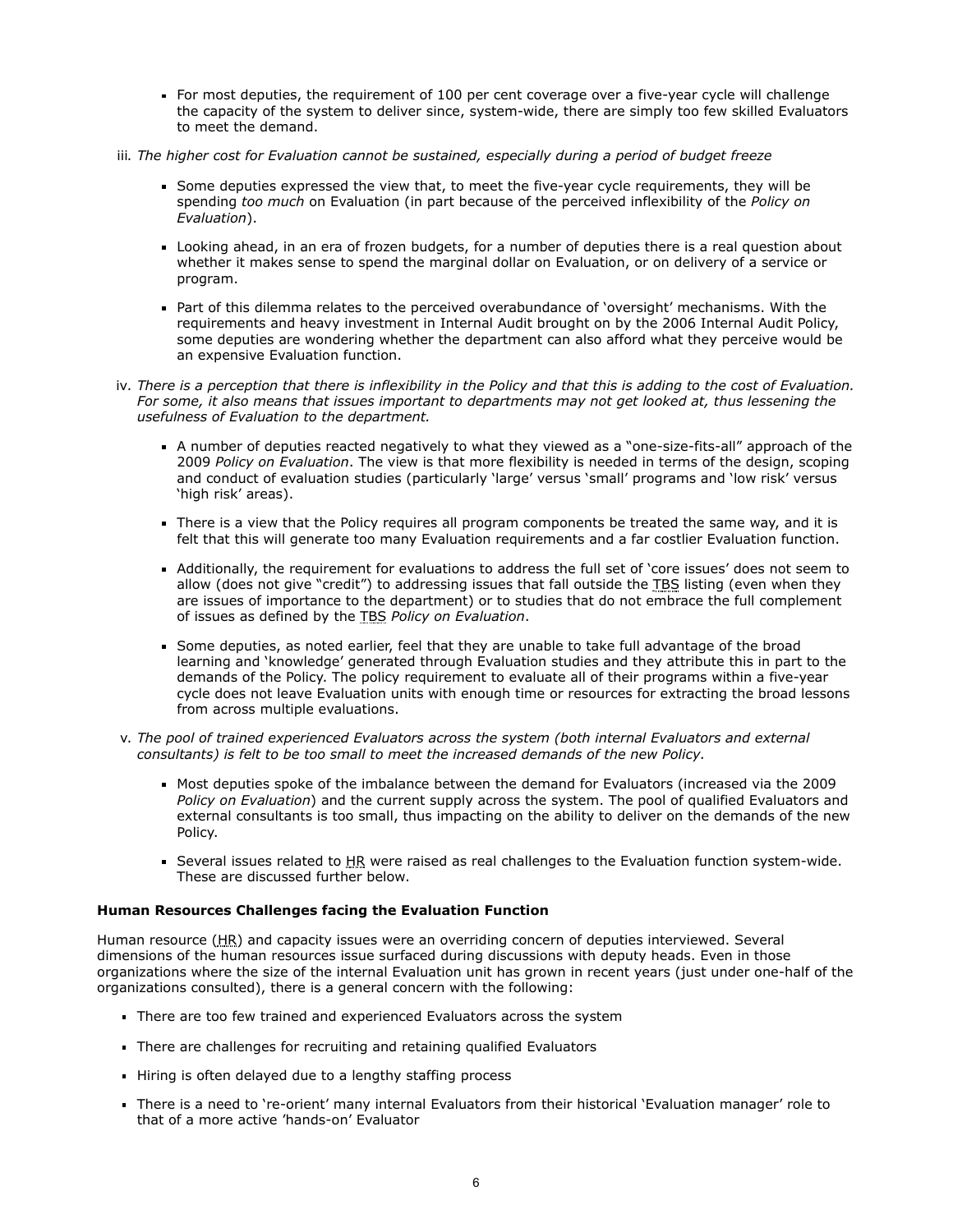- For most deputies, the requirement of 100 per cent coverage over a five-year cycle will challenge the capacity of the system to deliver since, system-wide, there are simply too few skilled Evaluators to meet the demand.
- iii. *The higher cost for Evaluation cannot be sustained, especially during a period of budget freeze*
	- Some deputies expressed the view that, to meet the five-year cycle requirements, they will be spending *too much* on Evaluation (in part because of the perceived inflexibility of the *Policy on Evaluation*).
	- Looking ahead, in an era of frozen budgets, for a number of deputies there is a real question about whether it makes sense to spend the marginal dollar on Evaluation, or on delivery of a service or program.
	- Part of this dilemma relates to the perceived overabundance of 'oversight' mechanisms. With the requirements and heavy investment in Internal Audit brought on by the 2006 Internal Audit Policy, some deputies are wondering whether the department can also afford what they perceive would be an expensive Evaluation function.
- iv. *There is a perception that there is inflexibility in the Policy and that this is adding to the cost of Evaluation. For some, it also means that issues important to departments may not get looked at, thus lessening the usefulness of Evaluation to the department.*
	- A number of deputies reacted negatively to what they viewed as a "one-size-fits-all" approach of the 2009 *Policy on Evaluation*. The view is that more flexibility is needed in terms of the design, scoping and conduct of evaluation studies (particularly 'large' versus 'small' programs and 'low risk' versus 'high risk' areas).
	- There is a view that the Policy requires all program components be treated the same way, and it is felt that this will generate too many Evaluation requirements and a far costlier Evaluation function.
	- Additionally, the requirement for evaluations to address the full set of 'core issues' does not seem to allow (does not give "credit") to addressing issues that fall outside the TBS listing (even when they are issues of importance to the department) or to studies that do not embrace the full complement of issues as defined by the TBS *Policy on Evaluation*.
	- Some deputies, as noted earlier, feel that they are unable to take full advantage of the broad learning and 'knowledge' generated through Evaluation studies and they attribute this in part to the demands of the Policy. The policy requirement to evaluate all of their programs within a five-year cycle does not leave Evaluation units with enough time or resources for extracting the broad lessons from across multiple evaluations.
- v. *The pool of trained experienced Evaluators across the system (both internal Evaluators and external consultants) is felt to be too small to meet the increased demands of the new Policy.*
	- Most deputies spoke of the imbalance between the demand for Evaluators (increased via the 2009 *Policy on Evaluation*) and the current supply across the system. The pool of qualified Evaluators and external consultants is too small, thus impacting on the ability to deliver on the demands of the new Policy.
	- Several issues related to HR were raised as real challenges to the Evaluation function system-wide. These are discussed further below.

### **Human Resources Challenges facing the Evaluation Function**

Human resource (HR) and capacity issues were an overriding concern of deputies interviewed. Several dimensions of the human resources issue surfaced during discussions with deputy heads. Even in those organizations where the size of the internal Evaluation unit has grown in recent years (just under one-half of the organizations consulted), there is a general concern with the following:

- There are too few trained and experienced Evaluators across the system
- There are challenges for recruiting and retaining qualified Evaluators
- Hiring is often delayed due to a lengthy staffing process
- There is a need to 're-orient' many internal Evaluators from their historical 'Evaluation manager' role to that of a more active 'hands-on' Evaluator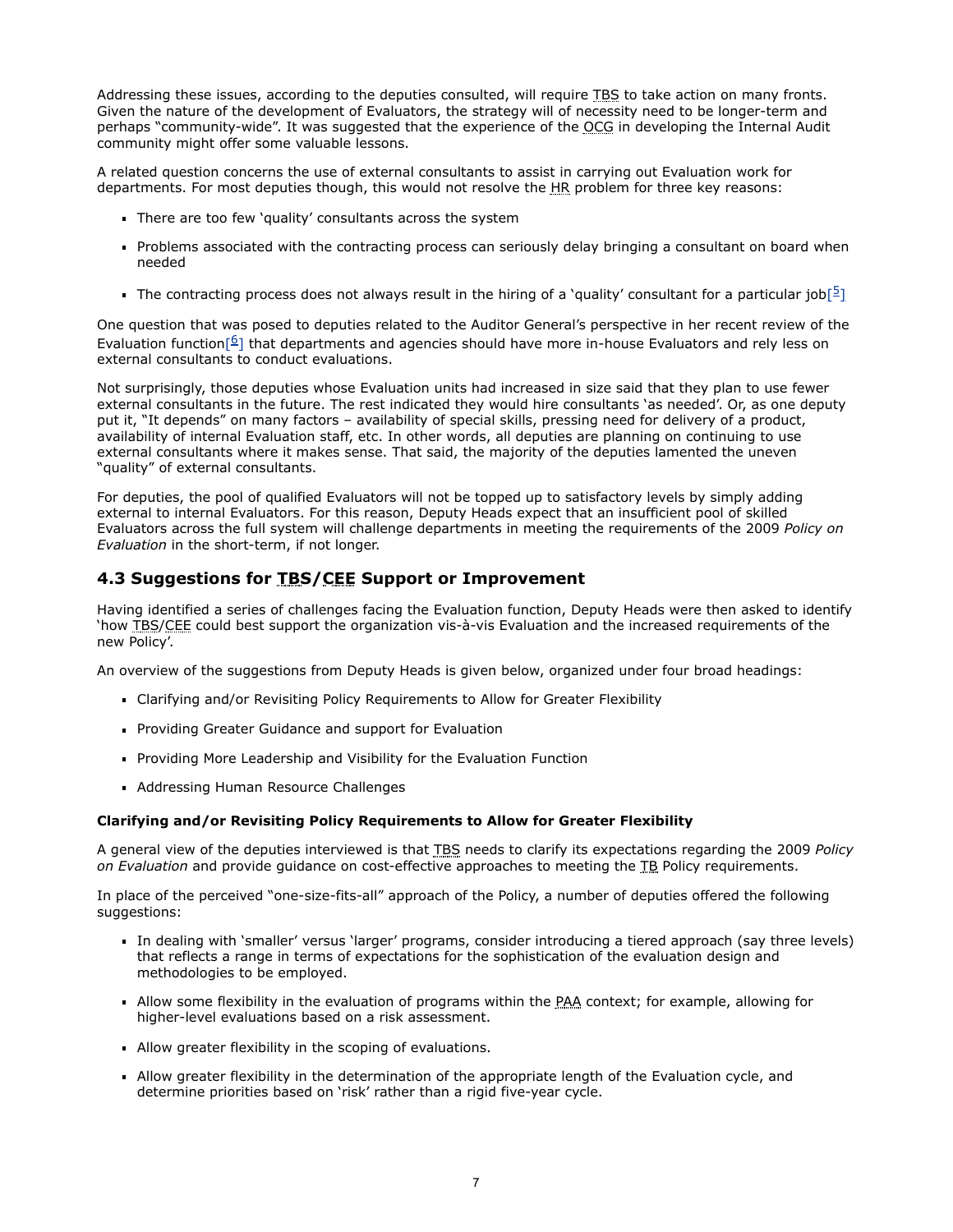Addressing these issues, according to the deputies consulted, will require TBS to take action on many fronts. Given the nature of the development of Evaluators, the strategy will of necessity need to be longer-term and perhaps "community-wide". It was suggested that the experience of the OCG in developing the Internal Audit community might offer some valuable lessons.

A related question concerns the use of external consultants to assist in carrying out Evaluation work for departments. For most deputies though, this would not resolve the HR problem for three key reasons:

- There are too few 'quality' consultants across the system
- Problems associated with the contracting process can seriously delay bringing a consultant on board when needed
- The contracting process does not always result in the hiring of a 'quality' consultant for a particular job $[2]$  $[2]$

One question that was posed to deputies related to the Auditor General's perspective in her recent review of the Evaluation function<sup>[6]</sup> that departments and agencies should have more in-house Evaluators and rely less on external consultants to conduct evaluations.

Not surprisingly, those deputies whose Evaluation units had increased in size said that they plan to use fewer external consultants in the future. The rest indicated they would hire consultants 'as needed'. Or, as one deputy put it, "It depends" on many factors – availability of special skills, pressing need for delivery of a product, availability of internal Evaluation staff, etc. In other words, all deputies are planning on continuing to use external consultants where it makes sense. That said, the majority of the deputies lamented the uneven "quality" of external consultants.

For deputies, the pool of qualified Evaluators will not be topped up to satisfactory levels by simply adding external to internal Evaluators. For this reason, Deputy Heads expect that an insufficient pool of skilled Evaluators across the full system will challenge departments in meeting the requirements of the 2009 *Policy on Evaluation* in the short-term, if not longer.

# <span id="page-8-0"></span>**4.3 Suggestions for TBS/CEE Support or Improvement**

Having identified a series of challenges facing the Evaluation function, Deputy Heads were then asked to identify 'how TBS/CEE could best support the organization vis-à-vis Evaluation and the increased requirements of the new Policy'.

An overview of the suggestions from Deputy Heads is given below, organized under four broad headings:

- Clarifying and/or Revisiting Policy Requirements to Allow for Greater Flexibility
- **Providing Greater Guidance and support for Evaluation**
- **Providing More Leadership and Visibility for the Evaluation Function**
- Addressing Human Resource Challenges

### **Clarifying and/or Revisiting Policy Requirements to Allow for Greater Flexibility**

A general view of the deputies interviewed is that TBS needs to clarify its expectations regarding the 2009 *Policy on Evaluation* and provide guidance on cost-effective approaches to meeting the TB Policy requirements.

In place of the perceived "one-size-fits-all" approach of the Policy, a number of deputies offered the following suggestions:

- In dealing with 'smaller' versus 'larger' programs, consider introducing a tiered approach (say three levels) that reflects a range in terms of expectations for the sophistication of the evaluation design and methodologies to be employed.
- Allow some flexibility in the evaluation of programs within the PAA context; for example, allowing for higher-level evaluations based on a risk assessment.
- Allow greater flexibility in the scoping of evaluations.
- Allow greater flexibility in the determination of the appropriate length of the Evaluation cycle, and determine priorities based on 'risk' rather than a rigid five-year cycle.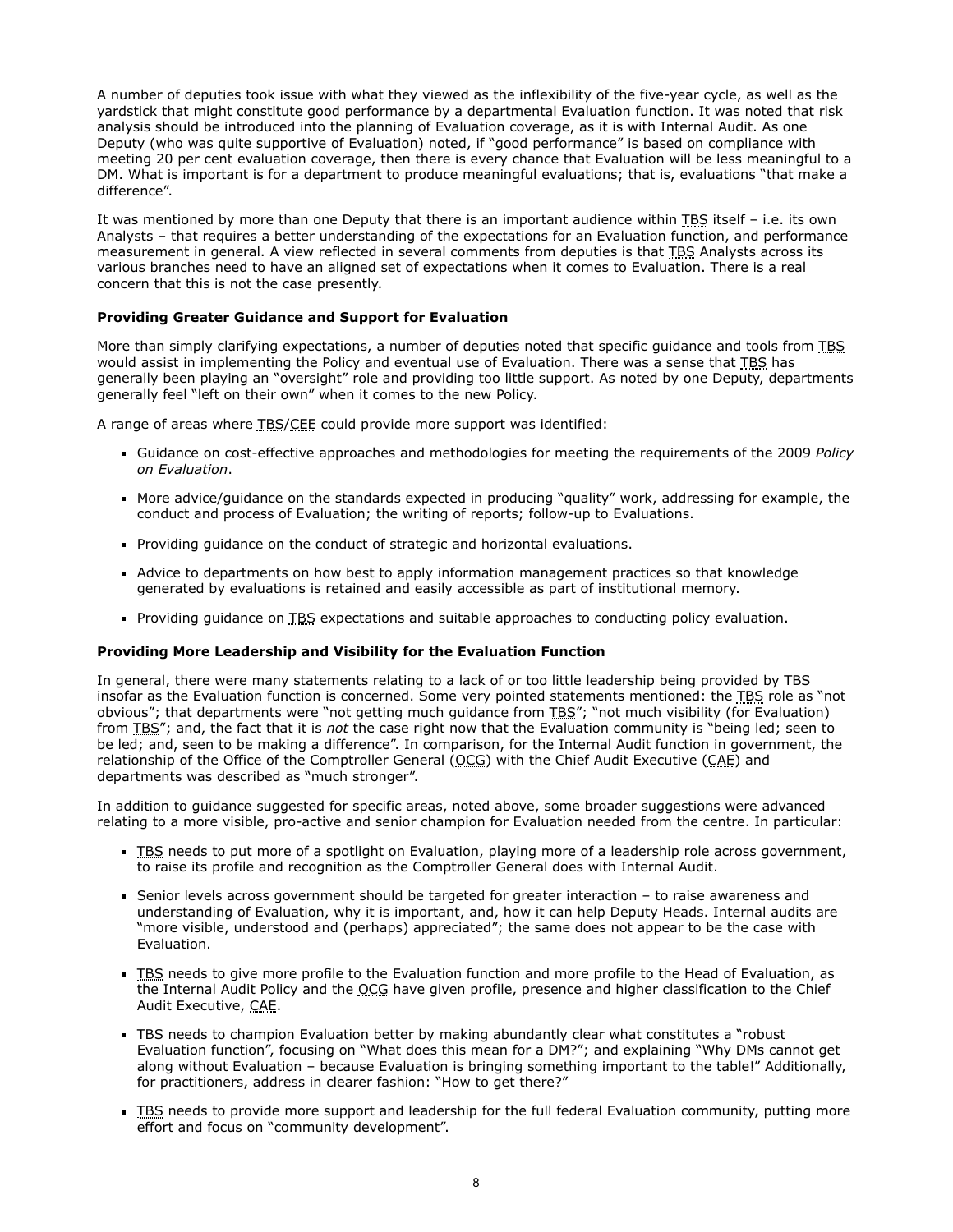A number of deputies took issue with what they viewed as the inflexibility of the five-year cycle, as well as the yardstick that might constitute good performance by a departmental Evaluation function. It was noted that risk analysis should be introduced into the planning of Evaluation coverage, as it is with Internal Audit. As one Deputy (who was quite supportive of Evaluation) noted, if "good performance" is based on compliance with meeting 20 per cent evaluation coverage, then there is every chance that Evaluation will be less meaningful to a DM. What is important is for a department to produce meaningful evaluations; that is, evaluations "that make a difference".

It was mentioned by more than one Deputy that there is an important audience within TBS itself – i.e. its own Analysts – that requires a better understanding of the expectations for an Evaluation function, and performance measurement in general. A view reflected in several comments from deputies is that TBS Analysts across its various branches need to have an aligned set of expectations when it comes to Evaluation. There is a real concern that this is not the case presently.

## **Providing Greater Guidance and Support for Evaluation**

More than simply clarifying expectations, a number of deputies noted that specific guidance and tools from TBS would assist in implementing the Policy and eventual use of Evaluation. There was a sense that TBS has generally been playing an "oversight" role and providing too little support. As noted by one Deputy, departments generally feel "left on their own" when it comes to the new Policy.

A range of areas where TBS/CEE could provide more support was identified:

- Guidance on cost-effective approaches and methodologies for meeting the requirements of the 2009 *Policy on Evaluation*.
- More advice/guidance on the standards expected in producing "quality" work, addressing for example, the conduct and process of Evaluation; the writing of reports; follow-up to Evaluations.
- Providing guidance on the conduct of strategic and horizontal evaluations.
- Advice to departments on how best to apply information management practices so that knowledge generated by evaluations is retained and easily accessible as part of institutional memory.
- Providing guidance on TBS expectations and suitable approaches to conducting policy evaluation.

### **Providing More Leadership and Visibility for the Evaluation Function**

In general, there were many statements relating to a lack of or too little leadership being provided by TBS insofar as the Evaluation function is concerned. Some very pointed statements mentioned: the TBS role as "not obvious"; that departments were "not getting much guidance from TBS"; "not much visibility (for Evaluation) from TBS"; and, the fact that it is *not* the case right now that the Evaluation community is "being led; seen to be led; and, seen to be making a difference". In comparison, for the Internal Audit function in government, the relationship of the Office of the Comptroller General ( $QCCG$ ) with the Chief Audit Executive ( $CAC$ ) and departments was described as "much stronger".

In addition to guidance suggested for specific areas, noted above, some broader suggestions were advanced relating to a more visible, pro-active and senior champion for Evaluation needed from the centre. In particular:

- **TBS** needs to put more of a spotlight on Evaluation, playing more of a leadership role across government, to raise its profile and recognition as the Comptroller General does with Internal Audit.
- Senior levels across government should be targeted for greater interaction to raise awareness and understanding of Evaluation, why it is important, and, how it can help Deputy Heads. Internal audits are "more visible, understood and (perhaps) appreciated"; the same does not appear to be the case with Evaluation.
- TBS needs to give more profile to the Evaluation function and more profile to the Head of Evaluation, as the Internal Audit Policy and the OCG have given profile, presence and higher classification to the Chief Audit Executive, CAE.
- **TBS needs to champion Evaluation better by making abundantly clear what constitutes a "robust"** Evaluation function", focusing on "What does this mean for a DM?"; and explaining "Why DMs cannot get along without Evaluation – because Evaluation is bringing something important to the table!" Additionally, for practitioners, address in clearer fashion: "How to get there?"
- **TBS** needs to provide more support and leadership for the full federal Evaluation community, putting more effort and focus on "community development".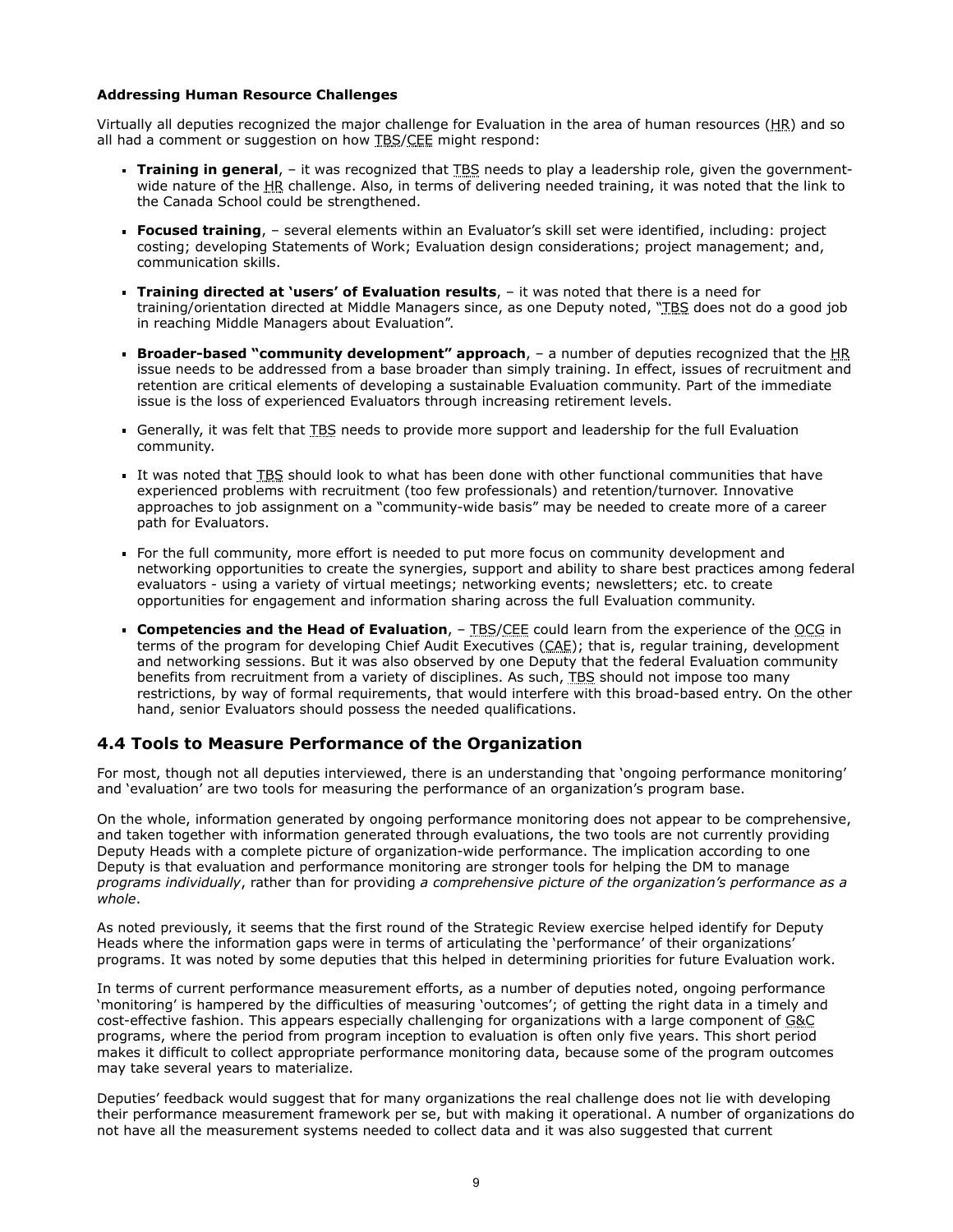#### **Addressing Human Resource Challenges**

Virtually all deputies recognized the major challenge for Evaluation in the area of human resources (HR) and so all had a comment or suggestion on how TBS/CEE might respond:

- **Training in general**, it was recognized that TBS needs to play a leadership role, given the governmentwide nature of the HR challenge. Also, in terms of delivering needed training, it was noted that the link to the Canada School could be strengthened.
- **Focused training**, several elements within an Evaluator's skill set were identified, including: project costing; developing Statements of Work; Evaluation design considerations; project management; and, communication skills.
- **Training directed at 'users' of Evaluation results**, it was noted that there is a need for training/orientation directed at Middle Managers since, as one Deputy noted, "TBS does not do a good job in reaching Middle Managers about Evaluation".
- **Broader-based "community development" approach**,  $-$  a number of deputies recognized that the HR issue needs to be addressed from a base broader than simply training. In effect, issues of recruitment and retention are critical elements of developing a sustainable Evaluation community. Part of the immediate issue is the loss of experienced Evaluators through increasing retirement levels.
- Generally, it was felt that TBS needs to provide more support and leadership for the full Evaluation community.
- It was noted that TBS should look to what has been done with other functional communities that have experienced problems with recruitment (too few professionals) and retention/turnover. Innovative approaches to job assignment on a "community-wide basis" may be needed to create more of a career path for Evaluators.
- For the full community, more effort is needed to put more focus on community development and networking opportunities to create the synergies, support and ability to share best practices among federal evaluators - using a variety of virtual meetings; networking events; newsletters; etc. to create opportunities for engagement and information sharing across the full Evaluation community.
- **Competencies and the Head of Evaluation,** TBS/CEE could learn from the experience of the OCG in terms of the program for developing Chief Audit Executives (CAE); that is, regular training, development and networking sessions. But it was also observed by one Deputy that the federal Evaluation community benefits from recruitment from a variety of disciplines. As such, TBS should not impose too many restrictions, by way of formal requirements, that would interfere with this broad-based entry. On the other hand, senior Evaluators should possess the needed qualifications.

## **4.4 Tools to Measure Performance of the Organization**

For most, though not all deputies interviewed, there is an understanding that 'ongoing performance monitoring' and 'evaluation' are two tools for measuring the performance of an organization's program base.

On the whole, information generated by ongoing performance monitoring does not appear to be comprehensive, and taken together with information generated through evaluations, the two tools are not currently providing Deputy Heads with a complete picture of organization-wide performance. The implication according to one Deputy is that evaluation and performance monitoring are stronger tools for helping the DM to manage *programs individually*, rather than for providing *a comprehensive picture of the organization's performance as a whole*.

As noted previously, it seems that the first round of the Strategic Review exercise helped identify for Deputy Heads where the information gaps were in terms of articulating the 'performance' of their organizations' programs. It was noted by some deputies that this helped in determining priorities for future Evaluation work.

In terms of current performance measurement efforts, as a number of deputies noted, ongoing performance 'monitoring' is hampered by the difficulties of measuring 'outcomes'; of getting the right data in a timely and cost-effective fashion. This appears especially challenging for organizations with a large component of G&C programs, where the period from program inception to evaluation is often only five years. This short period makes it difficult to collect appropriate performance monitoring data, because some of the program outcomes may take several years to materialize.

Deputies' feedback would suggest that for many organizations the real challenge does not lie with developing their performance measurement framework per se, but with making it operational. A number of organizations do not have all the measurement systems needed to collect data and it was also suggested that current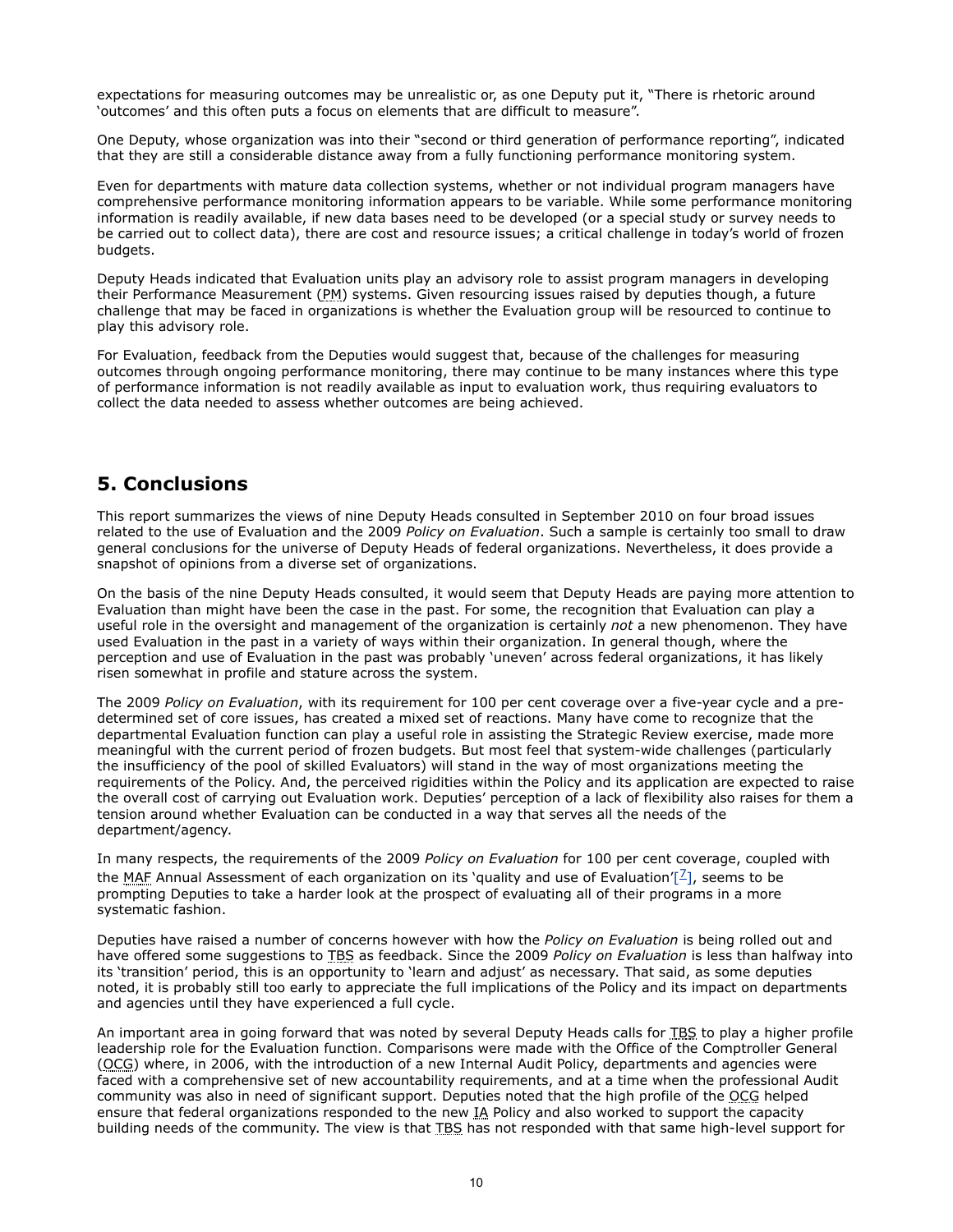expectations for measuring outcomes may be unrealistic or, as one Deputy put it, "There is rhetoric around 'outcomes' and this often puts a focus on elements that are difficult to measure".

One Deputy, whose organization was into their "second or third generation of performance reporting", indicated that they are still a considerable distance away from a fully functioning performance monitoring system.

Even for departments with mature data collection systems, whether or not individual program managers have comprehensive performance monitoring information appears to be variable. While some performance monitoring information is readily available, if new data bases need to be developed (or a special study or survey needs to be carried out to collect data), there are cost and resource issues; a critical challenge in today's world of frozen budgets.

Deputy Heads indicated that Evaluation units play an advisory role to assist program managers in developing their Performance Measurement (PM) systems. Given resourcing issues raised by deputies though, a future challenge that may be faced in organizations is whether the Evaluation group will be resourced to continue to play this advisory role.

For Evaluation, feedback from the Deputies would suggest that, because of the challenges for measuring outcomes through ongoing performance monitoring, there may continue to be many instances where this type of performance information is not readily available as input to evaluation work, thus requiring evaluators to collect the data needed to assess whether outcomes are being achieved.

# **5. Conclusions**

This report summarizes the views of nine Deputy Heads consulted in September 2010 on four broad issues related to the use of Evaluation and the 2009 *Policy on Evaluation*. Such a sample is certainly too small to draw general conclusions for the universe of Deputy Heads of federal organizations. Nevertheless, it does provide a snapshot of opinions from a diverse set of organizations.

On the basis of the nine Deputy Heads consulted, it would seem that Deputy Heads are paying more attention to Evaluation than might have been the case in the past. For some, the recognition that Evaluation can play a useful role in the oversight and management of the organization is certainly *not* a new phenomenon. They have used Evaluation in the past in a variety of ways within their organization. In general though, where the perception and use of Evaluation in the past was probably 'uneven' across federal organizations, it has likely risen somewhat in profile and stature across the system.

The 2009 *Policy on Evaluation*, with its requirement for 100 per cent coverage over a five-year cycle and a predetermined set of core issues, has created a mixed set of reactions. Many have come to recognize that the departmental Evaluation function can play a useful role in assisting the Strategic Review exercise, made more meaningful with the current period of frozen budgets. But most feel that system-wide challenges (particularly the insufficiency of the pool of skilled Evaluators) will stand in the way of most organizations meeting the requirements of the Policy. And, the perceived rigidities within the Policy and its application are expected to raise the overall cost of carrying out Evaluation work. Deputies' perception of a lack of flexibility also raises for them a tension around whether Evaluation can be conducted in a way that serves all the needs of the department/agency.

In many respects, the requirements of the 2009 *Policy on Evaluation* for 100 per cent coverage, coupled with the MAF Annual Assessment of each organization on its 'quality and use of Evaluation'[ $\frac{7}{2}$ [\]](http://www.tbs-sct.gc.ca/report/orp/2011/evaluation/dhcefsr-cagfers04-eng.asp#ftn7), seems to be prompting Deputies to take a harder look at the prospect of evaluating all of their programs in a more systematic fashion.

Deputies have raised a number of concerns however with how the *Policy on Evaluation* is being rolled out and have offered some suggestions to TBS as feedback. Since the 2009 *Policy on Evaluation* is less than halfway into its 'transition' period, this is an opportunity to 'learn and adjust' as necessary. That said, as some deputies noted, it is probably still too early to appreciate the full implications of the Policy and its impact on departments and agencies until they have experienced a full cycle.

An important area in going forward that was noted by several Deputy Heads calls for TBS to play a higher profile leadership role for the Evaluation function. Comparisons were made with the Office of the Comptroller General (OCG) where, in 2006, with the introduction of a new Internal Audit Policy, departments and agencies were faced with a comprehensive set of new accountability requirements, and at a time when the professional Audit community was also in need of significant support. Deputies noted that the high profile of the OCG helped ensure that federal organizations responded to the new IA Policy and also worked to support the capacity building needs of the community. The view is that TBS has not responded with that same high-level support for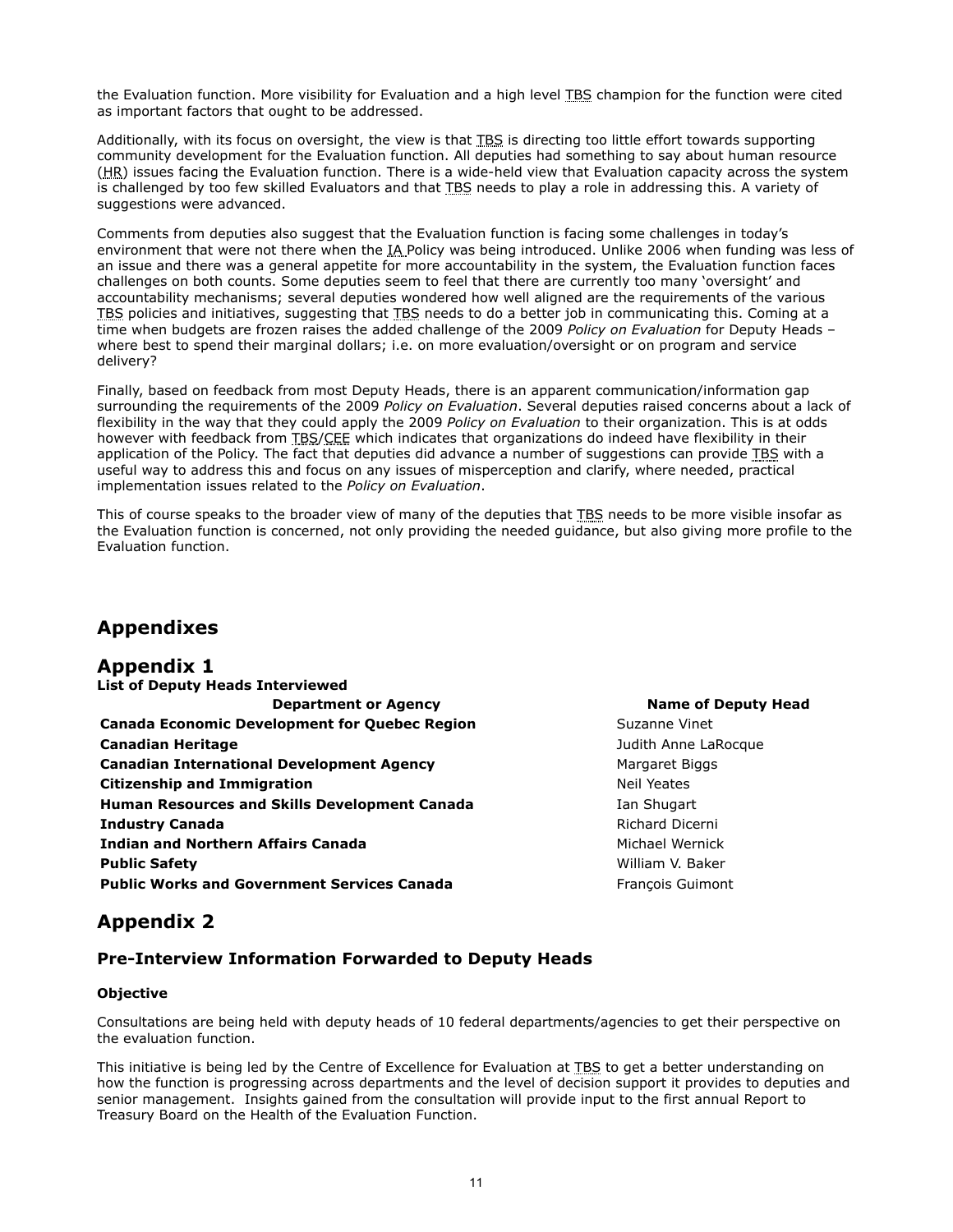the Evaluation function. More visibility for Evaluation and a high level TBS champion for the function were cited as important factors that ought to be addressed.

Additionally, with its focus on oversight, the view is that TBS is directing too little effort towards supporting community development for the Evaluation function. All deputies had something to say about human resource (HR) issues facing the Evaluation function. There is a wide-held view that Evaluation capacity across the system is challenged by too few skilled Evaluators and that TBS needs to play a role in addressing this. A variety of suggestions were advanced.

Comments from deputies also suggest that the Evaluation function is facing some challenges in today's environment that were not there when the IA Policy was being introduced. Unlike 2006 when funding was less of an issue and there was a general appetite for more accountability in the system, the Evaluation function faces challenges on both counts. Some deputies seem to feel that there are currently too many 'oversight' and accountability mechanisms; several deputies wondered how well aligned are the requirements of the various TBS policies and initiatives, suggesting that TBS needs to do a better job in communicating this. Coming at a time when budgets are frozen raises the added challenge of the 2009 *Policy on Evaluation* for Deputy Heads – where best to spend their marginal dollars; i.e. on more evaluation/oversight or on program and service delivery?

Finally, based on feedback from most Deputy Heads, there is an apparent communication/information gap surrounding the requirements of the 2009 *Policy on Evaluation*. Several deputies raised concerns about a lack of flexibility in the way that they could apply the 2009 *Policy on Evaluation* to their organization. This is at odds however with feedback from TBS/CEE which indicates that organizations do indeed have flexibility in their application of the Policy. The fact that deputies did advance a number of suggestions can provide TBS with a useful way to address this and focus on any issues of misperception and clarify, where needed, practical implementation issues related to the *Policy on Evaluation*.

This of course speaks to the broader view of many of the deputies that TBS needs to be more visible insofar as the Evaluation function is concerned, not only providing the needed guidance, but also giving more profile to the Evaluation function.

# **Appendixes**

# **Appendix 1**

| <b>List of Deputy Heads Interviewed</b>              |
|------------------------------------------------------|
| <b>Department or Agency</b>                          |
| <b>Canada Economic Development for Quebec Region</b> |
| <b>Canadian Heritage</b>                             |
| <b>Canadian International Development Agency</b>     |
| <b>Citizenship and Immigration</b>                   |
| <b>Human Resources and Skills Development Canada</b> |
| <b>Industry Canada</b>                               |
| <b>Indian and Northern Affairs Canada</b>            |
| <b>Public Safety</b>                                 |
| <b>Public Works and Government Services Canada</b>   |

## **Name of Deputy Head**

**Suzanne Vinet Canadian Heritage** Judith Anne LaRocque **Margaret Biggs Neil Yeates Ian Shugart Richard Dicerni Michael Wernick** William V. Baker **François Guimont** 

# **Appendix 2**

# **Pre-Interview Information Forwarded to Deputy Heads**

## **Objective**

Consultations are being held with deputy heads of 10 federal departments/agencies to get their perspective on the evaluation function.

This initiative is being led by the Centre of Excellence for Evaluation at TBS to get a better understanding on how the function is progressing across departments and the level of decision support it provides to deputies and senior management. Insights gained from the consultation will provide input to the first annual Report to Treasury Board on the Health of the Evaluation Function.